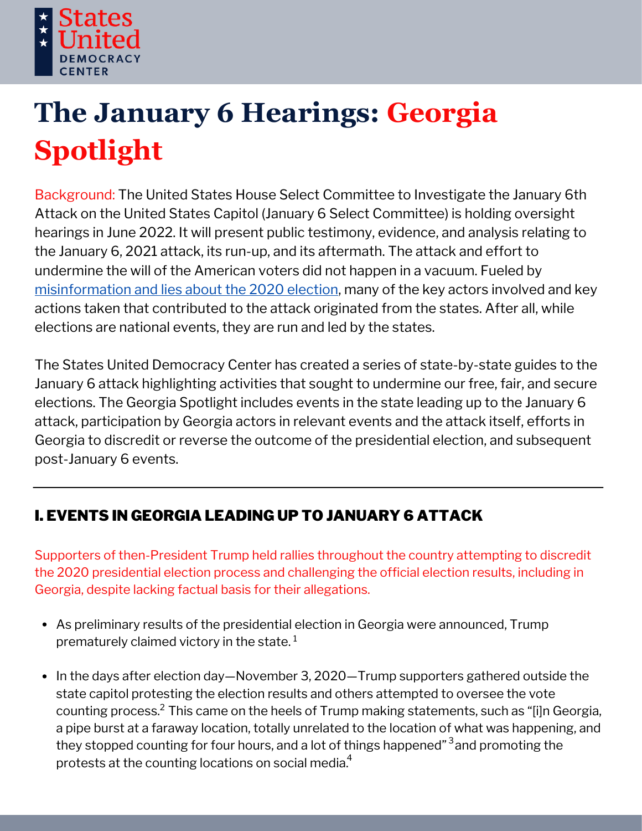

# **The January 6 Hearings: Georgia Spotlight**

Background: The United States House Select Committee to Investigate the January 6th Attack on the United States Capitol (January 6 Select Committee) is holding oversight hearings in June 2022. It will present public testimony, evidence, and analysis relating to the January 6, 2021 attack, its run-up, and its aftermath. The attack and effort to undermine the will of the American voters did not happen in a vacuum. Fueled by [misinformation](https://statesuniteddemocracy.org/wp-content/uploads/2021/01/000A-Myths-and-Facts-of-the-2020-Presidential-Election-20210113-FINAL.pdf) and lies about the 2020 election, many of the key actors involved and key actions taken that contributed to the attack originated from the states. After all, while elections are national events, they are run and led by the states.

The States United Democracy Center has created a series of state-by-state guides to the January 6 attack highlighting activities that sought to undermine our free, fair, and secure elections. The Georgia Spotlight includes events in the state leading up to the January 6 attack, participation by Georgia actors in relevant events and the attack itself, efforts in Georgia to discredit or reverse the outcome of the presidential election, and subsequent post-January 6 events.

# I. EVENTS IN GEORGIA LEADING UP TO JANUARY 6 ATTACK

Supporters of then-President Trump held rallies throughout the country attempting to discredit the 2020 presidential election process and challenging the official election results, including in Georgia, despite lacking factual basis for their allegations.

- As preliminary results of the presidential election in Georgia were announced, Trump prematurely claimed victory in the state. 1
- In the days after election day—November 3, 2020—Trump supporters gathered outside the state capitol protesting the election results and others attempted to oversee the vote counting process.<sup>2</sup> This came on the heels of Trump making statements, such as "[i]n Georgia, a pipe burst at a faraway location, totally unrelated to the location of what was happening, and they stopped counting for four hours, and a lot of things happened"<sup>3</sup> and promoting the protests at the counting locations on social media. $^{\rm 4}$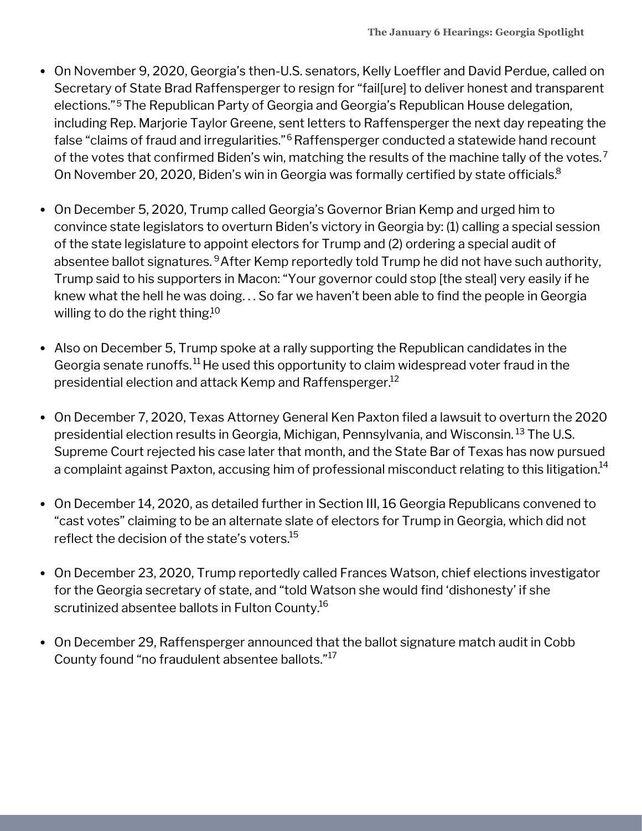- On November 9, 2020, Georgia's then-U.S. senators, Kelly Loeffler and David Perdue, called on Secretary of State Brad Raffensperger to resign for "fail[ure] to deliver honest and transparent elections."<sup>5</sup> The Republican Party of Georgia and Georgia's Republican House delegation, including Rep. Marjorie Taylor Greene, sent letters to Raffensperger the next day repeating the false "claims of fraud and irregularities."<sup>6</sup> Raffensperger conducted a statewide hand recount of the votes that confirmed Biden's win, matching the results of the machine tally of the votes. $^7$ On November 20, 2020, Biden's win in Georgia was formally certified by state officials. 8
- On December 5, 2020, Trump called Georgia's Governor Brian Kemp and urged him to convince state legislators to overturn Biden's victory in Georgia by: (1) calling a special session of the state legislature to appoint electors for Trump and (2) ordering a special audit of absentee ballot signatures. <sup>9</sup>After Kemp reportedly told Trump he did not have such authority, Trump said to his supporters in Macon: "Your governor could stop [the steal] very easily if he knew what the hell he was doing. . . So far we haven't been able to find the people in Georgia willing to do the right thing.<sup>10</sup>
- Also on December 5, Trump spoke at a rally supporting the Republican candidates in the Georgia senate runoffs. $^{11}$  He used this opportunity to claim widespread voter fraud in the presidential election and attack Kemp and Raffensperger. 12
- On December 7, 2020, Texas Attorney General Ken Paxton filed a lawsuit to overturn the 2020 presidential election results in Georgia, Michigan, Pennsylvania, and Wisconsin. <sup>13</sup> The U.S. Supreme Court rejected his case later that month, and the State Bar of Texas has now pursued a complaint against Paxton, accusing him of professional misconduct relating to this litigation. $^{\rm 14}$
- On December 14, 2020, as detailed further in Section III, 16 Georgia Republicans convened to "cast votes" claiming to be an alternate slate of electors for Trump in Georgia, which did not reflect the decision of the state's voters. 15
- On December 23, 2020, Trump reportedly called Frances Watson, chief elections investigator for the Georgia secretary of state, and "told Watson she would find 'dishonesty' if she scrutinized absentee ballots in Fulton County. 16
- On December 29, Raffensperger announced that the ballot signature match audit in Cobb County found "no fraudulent absentee ballots."<sup>17</sup>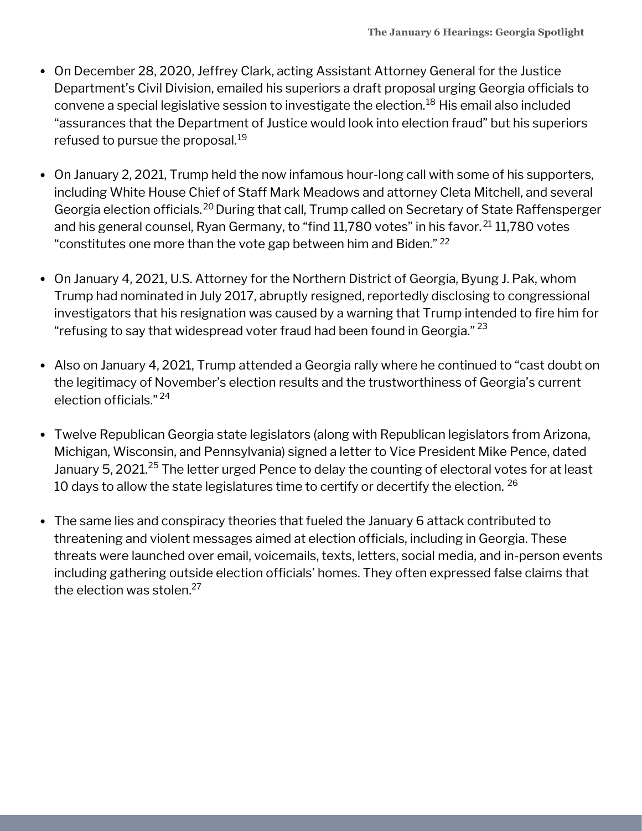- On December 28, 2020, Jeffrey Clark, acting Assistant Attorney General for the Justice Department's Civil Division, emailed his superiors a draft proposal urging Georgia officials to convene a special legislative session to investigate the election.<sup>18</sup> His email also included "assurances that the Department of Justice would look into election fraud" but his superiors refused to pursue the proposal. 19
- On January 2, 2021, Trump held the now infamous hour-long call with some of his supporters, including White House Chief of Staff Mark Meadows and attorney Cleta Mitchell, and several Georgia election officials.<sup>20</sup> During that call, Trump called on Secretary of State Raffensperger and his general counsel, Ryan Germany, to "find 11,780 votes" in his favor.<sup>21</sup> 11,780 votes "constitutes one more than the vote gap between him and Biden."  $^{22}$
- On January 4, 2021, U.S. Attorney for the Northern District of Georgia, Byung J. Pak, whom Trump had nominated in July 2017, abruptly resigned, reportedly disclosing to congressional investigators that his resignation was caused by a warning that Trump intended to fire him for "refusing to say that widespread voter fraud had been found in Georgia."  $^{\rm 23}$
- Also on January 4, 2021, Trump attended a Georgia rally where he continued to "cast doubt on the legitimacy of November's election results and the trustworthiness of Georgia's current election officials." 24
- Twelve Republican Georgia state legislators (along with Republican legislators from Arizona, Michigan, Wisconsin, and Pennsylvania) signed a letter to Vice President Mike Pence, dated January 5, 2021.<sup>25</sup> The letter urged Pence to delay the counting of electoral votes for at least 10 days to allow the state legislatures time to certify or decertify the election.  $^{26}$
- The same lies and conspiracy theories that fueled the January 6 attack contributed to threatening and violent messages aimed at election officials, including in Georgia. These threats were launched over email, voicemails, texts, letters, social media, and in-person events including gathering outside election officials' homes. They often expressed false claims that the election was stolen. 27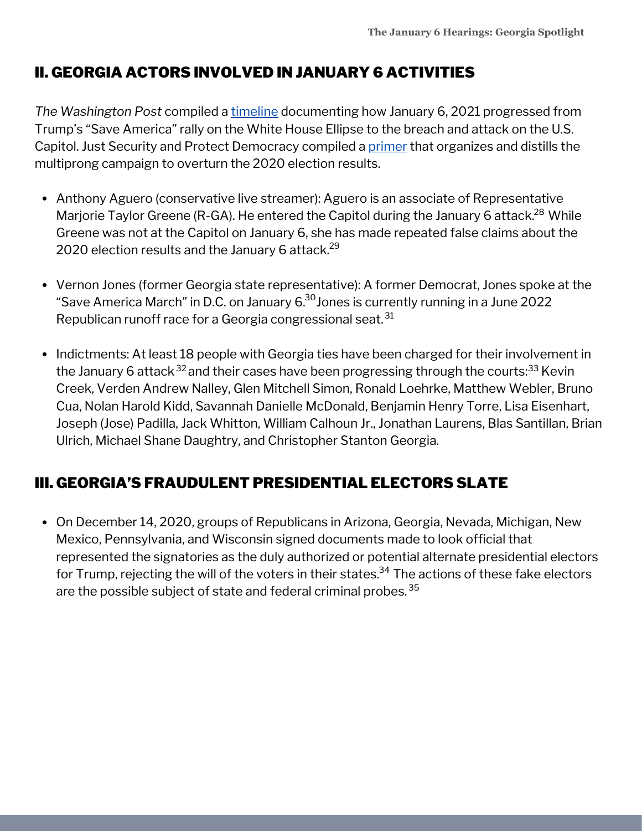# II. GEORGIA ACTORS INVOLVED IN JANUARY 6 ACTIVITIES

*The Washington Post* compiled a [timeline](https://www.washingtonpost.com/nation/interactive/2021/capitol-insurrection-visual-timeline/) documenting how January 6, 2021 progressed from Trump's "Save America" rally on the White House Ellipse to the breach and attack on the U.S. Capitol. Just Security and Protect Democracy compiled a [primer](https://www.justsecurity.org/wp-content/uploads/2022/06/primer-on-january-6th-select-committee-hearings.pdf) that organizes and distills the multiprong campaign to overturn the 2020 election results.

- Anthony Aguero (conservative live streamer): Aguero is an associate of Representative Marjorie Taylor Greene (R-GA). He entered the Capitol during the January 6 attack.<sup>28</sup> While Greene was not at the Capitol on January 6, she has made repeated false claims about the 2020 election results and the January 6 attack. 29
- Vernon Jones (former Georgia state representative): A former Democrat, Jones spoke at the "Save America March" in D.C. on January  $6^{30}$ Jones is currently running in a June 2022 Republican runoff race for a Georgia congressional seat. <sup>31</sup>
- Indictments: At least 18 people with Georgia ties have been charged for their involvement in the January 6 attack <sup>32</sup> and their cases have been progressing through the courts:<sup>33</sup> Kevin Creek, Verden Andrew Nalley, Glen Mitchell Simon, Ronald Loehrke, Matthew Webler, Bruno Cua, Nolan Harold Kidd, Savannah Danielle McDonald, Benjamin Henry Torre, Lisa Eisenhart, Joseph (Jose) Padilla, Jack Whitton, William Calhoun Jr., Jonathan Laurens, Blas Santillan, Brian Ulrich, Michael Shane Daughtry, and Christopher Stanton Georgia.

## III. GEORGIA'S FRAUDULENT PRESIDENTIAL ELECTORS SLATE

On December 14, 2020, groups of Republicans in Arizona, Georgia, Nevada, Michigan, New Mexico, Pennsylvania, and Wisconsin signed documents made to look official that represented the signatories as the duly authorized or potential alternate presidential electors for Trump, rejecting the will of the voters in their states. $^{34}$  The actions of these fake electors are the possible subject of state and federal criminal probes.  $^{\rm 35}$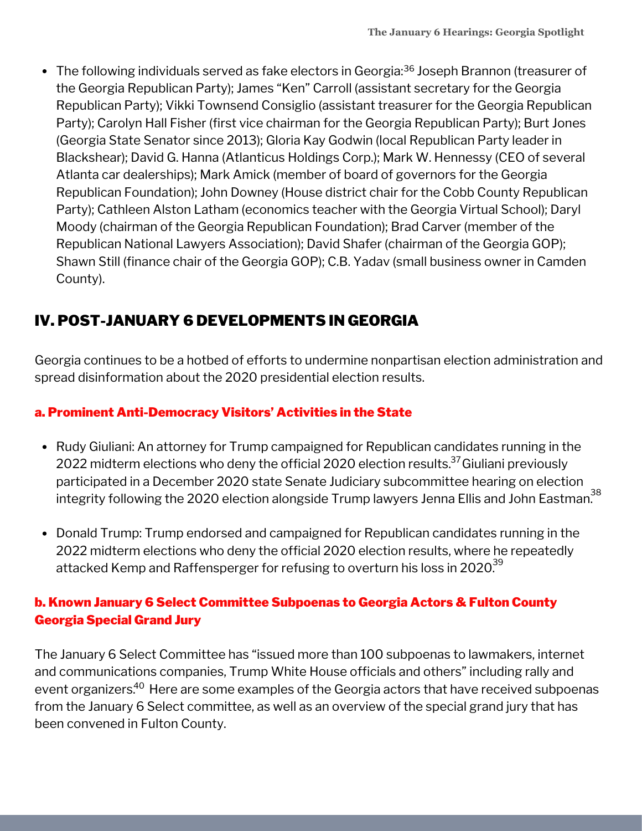The following individuals served as fake electors in Georgia:<sup>36</sup> Joseph Brannon (treasurer of the Georgia Republican Party); James "Ken" Carroll (assistant secretary for the Georgia Republican Party); Vikki Townsend Consiglio (assistant treasurer for the Georgia Republican Party); Carolyn Hall Fisher (first vice chairman for the Georgia Republican Party); Burt Jones (Georgia State Senator since 2013); Gloria Kay Godwin (local Republican Party leader in Blackshear); David G. Hanna (Atlanticus Holdings Corp.); Mark W. Hennessy (CEO of several Atlanta car dealerships); Mark Amick (member of board of governors for the Georgia Republican Foundation); John Downey (House district chair for the Cobb County Republican Party); Cathleen Alston Latham (economics teacher with the Georgia Virtual School); Daryl Moody (chairman of the Georgia Republican Foundation); Brad Carver (member of the Republican National Lawyers Association); David Shafer (chairman of the Georgia GOP); Shawn Still (finance chair of the Georgia GOP); C.B. Yadav (small business owner in Camden County).

## IV. POST-JANUARY 6 DEVELOPMENTS IN GEORGIA

Georgia continues to be a hotbed of efforts to undermine nonpartisan election administration and spread disinformation about the 2020 presidential election results.

## a. Prominent Anti-Democracy Visitors' Activities in the State

- Rudy Giuliani: An attorney for Trump campaigned for Republican candidates running in the 2022 midterm elections who deny the official 2020 election results.<sup>37</sup> Giuliani previously participated in a December 2020 state Senate Judiciary subcommittee hearing on election integrity following the 2020 election alongside Trump lawyers Jenna Ellis and John Eastman.<sup>38</sup>
- Donald Trump: Trump endorsed and campaigned for Republican candidates running in the 2022 midterm elections who deny the official 2020 election results, where he repeatedly attacked Kemp and Raffensperger for refusing to overturn his loss in 2020. $^{39}$

## b. Known January 6 Select Committee Subpoenas to Georgia Actors & Fulton County Georgia Special Grand Jury

The January 6 Select Committee has "issued more than 100 subpoenas to lawmakers, internet and communications companies, Trump White House officials and others" including rally and event organizers.<sup>40</sup> Here are some examples of the Georgia actors that have received subpoenas from the January 6 Select committee, as well as an overview of the special grand jury that has been convened in Fulton County.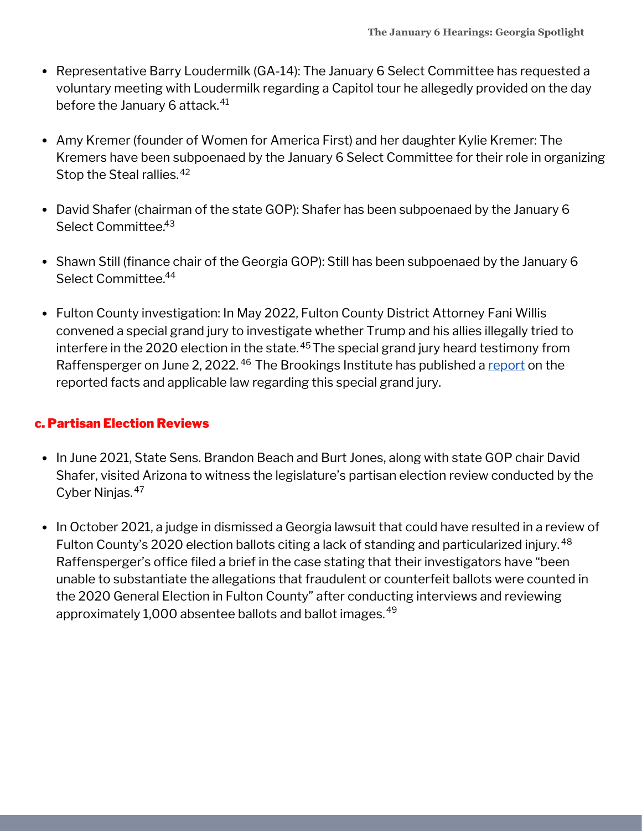- Representative Barry Loudermilk (GA-14): The January 6 Select Committee has requested a voluntary meeting with Loudermilk regarding a Capitol tour he allegedly provided on the day before the January 6 attack. 41
- Amy Kremer (founder of Women for America First) and her daughter Kylie Kremer: The Kremers have been subpoenaed by the January 6 Select Committee for their role in organizing Stop the Steal rallies. 42
- David Shafer (chairman of the state GOP): Shafer has been subpoenaed by the January 6 Select Committee. 43
- Shawn Still (finance chair of the Georgia GOP): Still has been subpoenaed by the January 6 Select Committee. 44
- Fulton County investigation: In May 2022, Fulton County District Attorney Fani Willis convened a special grand jury to investigate whether Trump and his allies illegally tried to interfere in the 2020 election in the state. $^{45}\mathrm{The}$  special grand jury heard testimony from Raffensperger on June 2, 2022. <sup>46</sup> The Brookings Institute has published a <u>[report](https://www.brookings.edu/wp-content/uploads/2021/10/Fulton-County-Trump-Investigation_Brookings-Report_October2021.pdf)</u> on the reported facts and applicable law regarding this special grand jury.

#### c. Partisan Election Reviews

- In June 2021, State Sens. Brandon Beach and Burt Jones, along with state GOP chair David Shafer, visited Arizona to witness the legislature's partisan election review conducted by the Cyber Ninjas. 47
- In October 2021, a judge in dismissed a Georgia lawsuit that could have resulted in a review of Fulton County's 2020 election ballots citing a lack of standing and particularized injury. 48Raffensperger's office filed a brief in the case stating that their investigators have "been unable to substantiate the allegations that fraudulent or counterfeit ballots were counted in the 2020 General Election in Fulton County" after conducting interviews and reviewing approximately 1,000 absentee ballots and ballot images. 49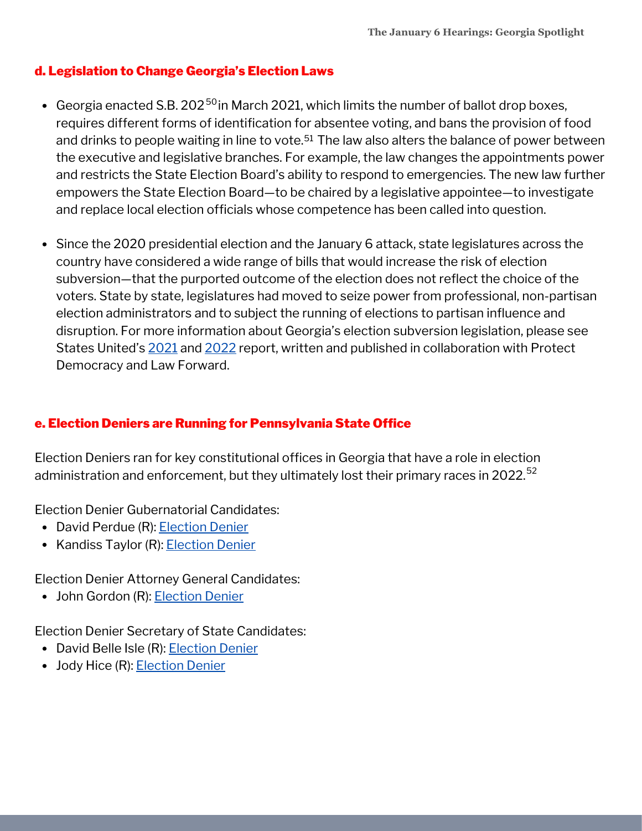#### d. Legislation to Change Georgia's Election Laws

- Georgia enacted S.B. 202<sup>50</sup> in March 2021, which limits the number of ballot drop boxes, requires different forms of identification for absentee voting, and bans the provision of food and drinks to people waiting in line to vote.<sup>51</sup> The law also alters the balance of power between the executive and legislative branches. For example, the law changes the appointments power and restricts the State Election Board's ability to respond to emergencies. The new law further empowers the State Election Board—to be chaired by a legislative appointee—to investigate and replace local election officials whose competence has been called into question.
- Since the 2020 presidential election and the January 6 attack, state legislatures across the country have considered a wide range of bills that would increase the risk of election subversion—that the purported outcome of the election does not reflect the choice of the voters. State by state, legislatures had moved to seize power from professional, non-partisan election administrators and to subject the running of elections to partisan influence and disruption. For more information about Georgia's election subversion legislation, please see States United's [2021](https://statesuniteddemocracy.org/wp-content/uploads/2021/04/FINAL-Democracy-Crisis-Report-April-21.pdf) and [2022](https://statesuniteddemocracy.org/wp-content/uploads/2022/05/DCITM_2022.pdf) report, written and published in collaboration with Protect Democracy and Law Forward.

#### e. Election Deniers are Running for Pennsylvania State Office

Election Deniers ran for key constitutional offices in Georgia that have a role in election administration and enforcement, but they ultimately lost their primary races in 2022.<sup>52</sup>

Election Denier Gubernatorial Candidates:

- David Perdue (R): [Election](https://statesuniteddemocracy.org/2022/05/06/trackerreleaseupdate2/) Denier
- Kandiss Taylor (R): **[Election](https://statesuniteddemocracy.org/2022/05/06/trackerreleaseupdate2/) Denier**

Election Denier Attorney General Candidates:

• John Gordon (R): **[Election](https://statesuniteddemocracy.org/2022/05/06/trackerreleaseupdate2/) Denier** 

Election Denier Secretary of State Candidates:

- David Belle Isle (R): **[Election](https://statesuniteddemocracy.org/2022/05/06/trackerreleaseupdate2/) Denier**
- Jody Hice (R): **[Election](https://statesuniteddemocracy.org/2022/05/06/trackerreleaseupdate2/) Denier**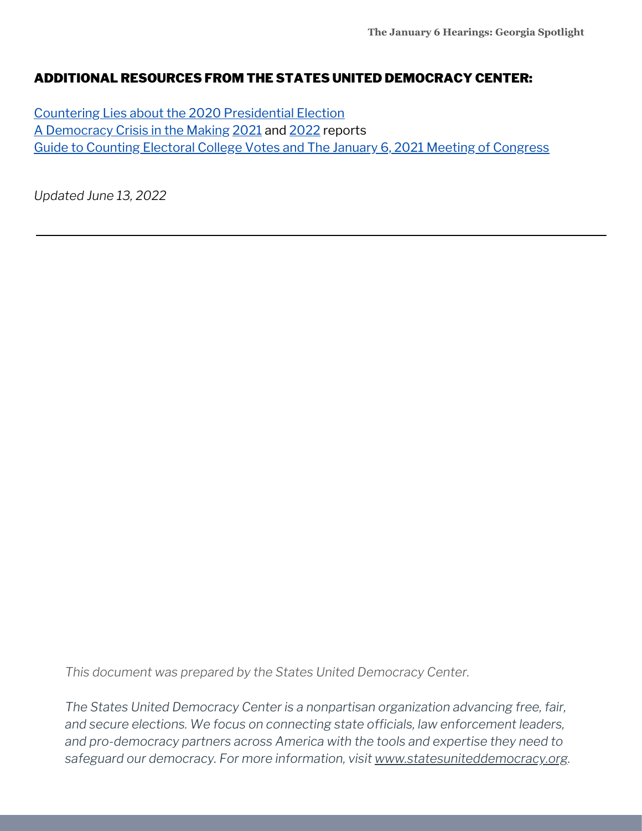#### ADDITIONAL RESOURCES FROM THE STATES UNITED DEMOCRACY CENTER:

Countering Lies about the 2020 [Presidential](https://statesuniteddemocracy.org/wp-content/uploads/2021/01/000A-Myths-and-Facts-of-the-2020-Presidential-Election-20210113-FINAL.pdf) Election A [Democracy](https://statesuniteddemocracy.org/resources/democracy-crisis-in-the-making-how-state-legislatures-are-politicizing-criminalizing-and-interfering-with-elections/) Crisis in the Making [2021](https://statesuniteddemocracy.org/wp-content/uploads/2021/04/FINAL-Democracy-Crisis-Report-April-21.pdf) and [2022](https://statesuniteddemocracy.org/wp-content/uploads/2022/05/DCITM_2022.pdf) reports Guide to Counting Electoral College Votes and The January 6, 2021 Meeting of [Congress](https://statesuniteddemocracy.org/wp-content/uploads/2021/01/VPP-Guide-to-Counting-Electoral-Votes.pdf)

*Updated June 13, 2022*

*This document was prepared by the States United Democracy Center.*

*The States United Democracy Center is a nonpartisan organization advancing free, fair, and secure elections. We focus on connecting state officials, law enforcement leaders, and pro-democracy partners across America with the tools and expertise they need to safeguard our democracy. For more information, visit [www.statesuniteddemocracy.org.](http://www.statesuniteddemocracy.org/)*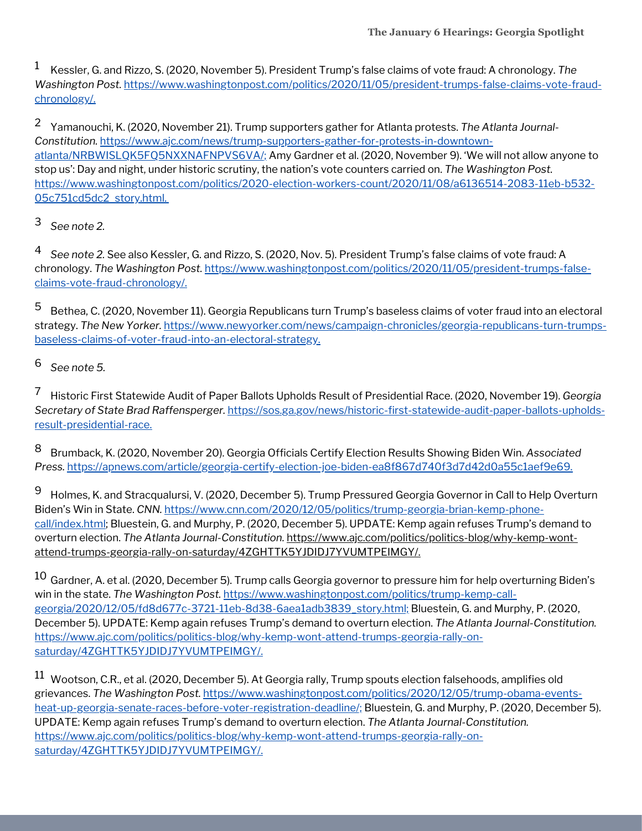$^{\rm 1}~$  Kessler, G. and Rizzo, S. (2020, November 5). President Trump's false claims of vote fraud: A chronology. The *Washington Post.* [https://www.washingtonpost.com/politics/2020/11/05/president-trumps-false-claims-vote-fraud](https://www.washingtonpost.com/politics/2020/11/05/president-trumps-false-claims-vote-fraud-chronology/)chronology/.

Yamanouchi, K. (2020, November 21). Trump supporters gather for Atlanta protests. *The Atlanta Journal-*2 *Constitution.* [https://www.ajc.com/news/trump-supporters-gather-for-protests-in-downtown](https://www.ajc.com/news/trump-supporters-gather-for-protests-in-downtown-atlanta/NRBWISLQK5FQ5NXXNAFNPVS6VA/)atlanta/NRBWISLQK5FQ5NXXNAFNPVS6VA/; Amy Gardner et al. (2020, November 9). 'We will not allow anyone to stop us': Day and night, under historic scrutiny, the nation's vote counters carried on. *The Washington Post.* [https://www.washingtonpost.com/politics/2020-election-workers-count/2020/11/08/a6136514-2083-11eb-b532-](https://www.washingtonpost.com/politics/2020-election-workers-count/2020/11/08/a6136514-2083-11eb-b532-05c751cd5dc2_story.html) 05c751cd5dc2\_story.html.

*See note 2.* 3

*See note 2.* See also Kessler, G. and Rizzo, S. (2020, Nov. 5). President Trump's false claims of vote fraud: A chronology. *The Washington Post.* [https://www.washingtonpost.com/politics/2020/11/05/president-trumps-false](https://www.washingtonpost.com/politics/2020/11/05/president-trumps-false-claims-vote-fraud-chronology/)claims-vote-fraud-chronology/. 4

Bethea, C. (2020, November 11). Georgia Republicans turn Trump's baseless claims of voter fraud into an electoral strategy. *The New Yorker.* [https://www.newyorker.com/news/campaign-chronicles/georgia-republicans-turn-trumps](https://www.newyorker.com/news/campaign-chronicles/georgia-republicans-turn-trumps-baseless-claims-of-voter-fraud-into-an-electoral-strategy)baseless-claims-of-voter-fraud-into-an-electoral-strategy. 5

*See note 5.* 6

Historic First Statewide Audit of Paper Ballots Upholds Result of Presidential Race. (2020, November 19). *Georgia Secretary of State Brad Raffensperger.* [https://sos.ga.gov/news/historic-first-statewide-audit-paper-ballots-upholds](https://sos.ga.gov/news/historic-first-statewide-audit-paper-ballots-upholds-result-presidential-race)result-presidential-race. 7

Brumback, K. (2020, November 20). Georgia Officials Certify Election Results Showing Biden Win. *Associated Press.* <https://apnews.com/article/georgia-certify-election-joe-biden-ea8f867d740f3d7d42d0a55c1aef9e69>. 8

Holmes, K. and Stracqualursi, V. (2020, December 5). Trump Pressured Georgia Governor in Call to Help Overturn Biden's Win in State. *CNN.* [https://www.cnn.com/2020/12/05/politics/trump-georgia-brian-kemp-phone](https://www.cnn.com/2020/12/05/politics/trump-georgia-brian-kemp-phone-call/index.html;)call/index.html; Bluestein, G. and Murphy, P. (2020, [December](https://www.cnn.com/2020/12/05/politics/trump-georgia-brian-kemp-phone-call/index.html;) 5). UPDATE: Kemp again refuses Trump's demand to overturn election. *The Atlanta Journal-Constitution.* https://www.ajc.com/politics/politics-blog/why-kemp-wont[attend-trumps-georgia-rally-on-saturday/4ZGHTTK5YJDIDJ7YVUMTPEIMGY/.](https://www.ajc.com/politics/politics-blog/why-kemp-wont-attend-trumps-georgia-rally-on-saturday/4ZGHTTK5YJDIDJ7YVUMTPEIMGY/) 9

 $^{10}$  Gardner, A. et al. (2020, December 5). Trump calls Georgia governor to pressure him for help overturning Biden's win in the state. *The Washington Post.* https://www.washingtonpost.com/politics/trump-kemp-call[georgia/2020/12/05/fd8d677c-3721-11eb-8d38-6aea1adb3839\\_story.html;](https://www.washingtonpost.com/politics/trump-kemp-call-georgia/2020/12/05/fd8d677c-3721-11eb-8d38-6aea1adb3839_story.html;) Bluestein, G. and Murphy, P. (2020, December 5). UPDATE: Kemp again refuses Trump's demand to overturn election. *The Atlanta Journal-Constitution.* [https://www.ajc.com/politics/politics-blog/why-kemp-wont-attend-trumps-georgia-rally-on](https://www.ajc.com/politics/politics-blog/why-kemp-wont-attend-trumps-georgia-rally-on-saturday/4ZGHTTK5YJDIDJ7YVUMTPEIMGY/)saturday/4ZGHTTK5YJDIDJ7YVUMTPEIMGY/.

 $^{11}\,$  Wootson, C.R., et al. (2020, December 5). At Georgia rally, Trump spouts election falsehoods, amplifies old grievances. *The Washington Post.* [https://www.washingtonpost.com/politics/2020/12/05/trump-obama-events](https://www.washingtonpost.com/politics/2020/12/05/trump-obama-events-heat-up-georgia-senate-races-before-voter-registration-deadline/;)heat-up-georgia-senate-races-before-voter-registration-deadline/; Bluestein, G. and Murphy, P. (2020, December 5). UPDATE: Kemp again refuses Trump's demand to overturn election. *The Atlanta Journal-Constitution.* [https://www.ajc.com/politics/politics-blog/why-kemp-wont-attend-trumps-georgia-rally-on](https://www.ajc.com/politics/politics-blog/why-kemp-wont-attend-trumps-georgia-rally-on-saturday/4ZGHTTK5YJDIDJ7YVUMTPEIMGY/)saturday/4ZGHTTK5YJDIDJ7YVUMTPEIMGY/.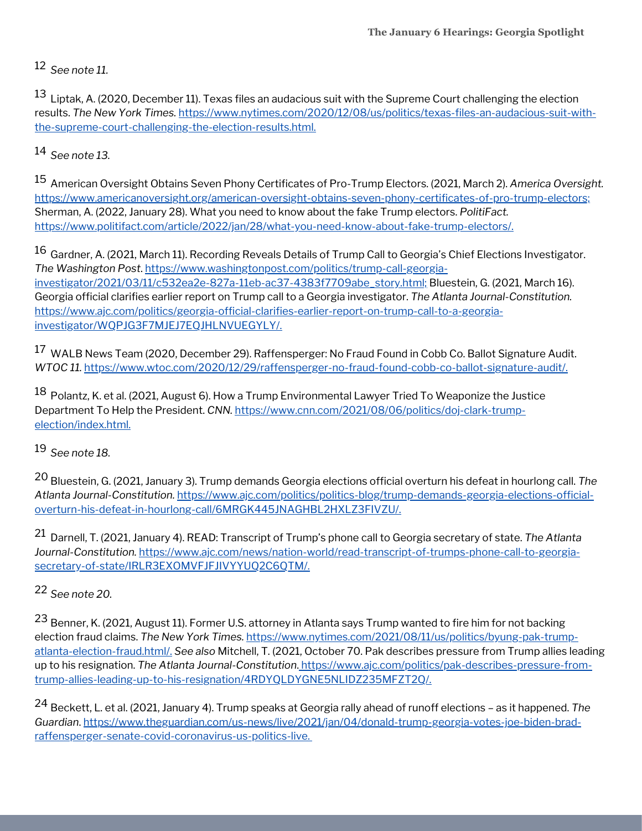*See note 11.* 12

 $^{13}$  Liptak, A. (2020, December 11). Texas files an audacious suit with the Supreme Court challenging the election results. *The New York Times.* [https://www.nytimes.com/2020/12/08/us/politics/texas-files-an-audacious-suit-with](https://www.nytimes.com/2020/12/08/us/politics/texas-files-an-audacious-suit-with-the-supreme-court-challenging-the-election-results.html.)the-supreme-court-challenging-the-election-results.html.

*See note 13.* 14

American Oversight Obtains Seven Phony Certificates of Pro-Trump Electors. (2021, March 2). *America Oversight.* 15 <https://www.americanoversight.org/american-oversight-obtains-seven-phony-certificates-of-pro-trump-electors;> Sherman, A. (2022, January 28). What you need to know about the fake Trump electors. *PolitiFact.* [https://www.politifact.com/article/2022/jan/28/what-you-need-know-about-fake-trump-electors/.](https://www.politifact.com/article/2022/jan/28/what-you-need-know-about-fake-trump-electors/)

 $^{16}$  Gardner, A. (2021, March 11). Recording Reveals Details of Trump Call to Georgia's Chief Elections Investigator. *The Washington Post*. https://www.washingtonpost.com/politics/trump-call-georgia[investigator/2021/03/11/c532ea2e-827a-11eb-ac37-4383f7709abe\\_story.html;](https://www.washingtonpost.com/politics/trump-call-georgia-investigator/2021/03/11/c532ea2e-827a-11eb-ac37-4383f7709abe_story.html;) [B](https://www.washingtonpost.com/politics/trump-call-georgia-investigator/2021/03/11/c532ea2e-827a-11eb-ac37-4383f7709abe_story.html;)luestein, G. (2021, March 16). Georgia official clarifies earlier report on Trump call to a Georgia investigator. *The Atlanta Journal-Constitution.* [https://www.ajc.com/politics/georgia-official-clarifies-earlier-report-on-trump-call-to-a-georgia](https://www.ajc.com/politics/georgia-official-clarifies-earlier-report-on-trump-call-to-a-georgia-investigator/WQPJG3F7MJEJ7EQJHLNVUEGYLY/)investigator/WQPJG3F7MJEJ7EQJHLNVUEGYLY/.

 $^{17}\,$  WALB News Team (2020, December 29). Raffensperger: No Fraud Found in Cobb Co. Ballot Signature Audit. *WTOC 11.* <https://www.wtoc.com/2020/12/29/raffensperger-no-fraud-found-cobb-co-ballot-signature-audit/>.

 $^{18}$  Polantz, K. et al. (2021, August 6). How a Trump Environmental Lawyer Tried To Weaponize the Justice Department To Help the President. *CNN.* [https://www.cnn.com/2021/08/06/politics/doj-clark-trump](https://www.cnn.com/2021/08/06/politics/doj-clark-trump-election/index.html)election/index.html.

*See note 18.* 19

Bluestein, G. (2021, January 3). Trump demands Georgia elections official overturn his defeat in hourlong call. *The* 20 *Atlanta Journal-Constitution.* https://www.ajc.com/politics/politics-blog/trump-demands-georgia-elections-officialoverturn-his-defeat-in-hourlong-call/6MRGK445JNAGHBL2HXLZ3FIVZU/.

Darnell, T. (2021, January 4). READ: Transcript of Trump's phone call to Georgia secretary of state. *The Atlanta* 21 *Journal-Constitution.* [https://www.ajc.com/news/nation-world/read-transcript-of-trumps-phone-call-to-georgia](https://www.ajc.com/news/nation-world/read-transcript-of-trumps-phone-call-to-georgia-secretary-of-state/IRLR3EXOMVFJFJIVYYUQ2C6QTM/)secretary-of-state/IRLR3EXOMVFJFJIVYYUQ2C6QTM/.

### *See note 20.* 22

<sup>23</sup> Benner, K. (2021, August 11). Former U.S. attorney in Atlanta says Trump wanted to fire him for not backing election fraud claims. *The New York Times.* [https://www.nytimes.com/2021/08/11/us/politics/byung-pak-trump](https://www.nytimes.com/2021/08/11/us/politics/byung-pak-trump-atlanta-election-fraud.html/)atlanta-election-fraud.html/. *[S](https://www.nytimes.com/2021/08/11/us/politics/byung-pak-trump-atlanta-election-fraud.html/)ee [also](https://www.nytimes.com/2021/08/11/us/politics/byung-pak-trump-atlanta-election-fraud.html/)* [Mitchell,](https://www.nytimes.com/2021/08/11/us/politics/byung-pak-trump-atlanta-election-fraud.html/) T. (2021, October 70. Pak describes pressure from Trump allies leading up to his resignation. *The Atlanta Journal-Constitution*. https://www.ajc.com/politics/pak-describes-pressure-from[trump-allies-leading-up-to-his-resignation/4RDYQLDYGNE5NLIDZ235MFZT2Q/.](https://www.ajc.com/politics/pak-describes-pressure-from-trump-allies-leading-up-to-his-resignation/4RDYQLDYGNE5NLIDZ235MFZT2Q/)

Beckett, L. et al. (2021, January 4). Trump speaks at Georgia rally ahead of runoff elections – as it happened. *The* 24*Guardian*. [https://www.theguardian.com/us-news/live/2021/jan/04/donald-trump-georgia-votes-joe-biden-brad](https://www.theguardian.com/us-news/live/2021/jan/04/donald-trump-georgia-votes-joe-biden-brad-raffensperger-senate-covid-coronavirus-us-politics-live)raffensperger-senate-covid-coronavirus-us-politics-live.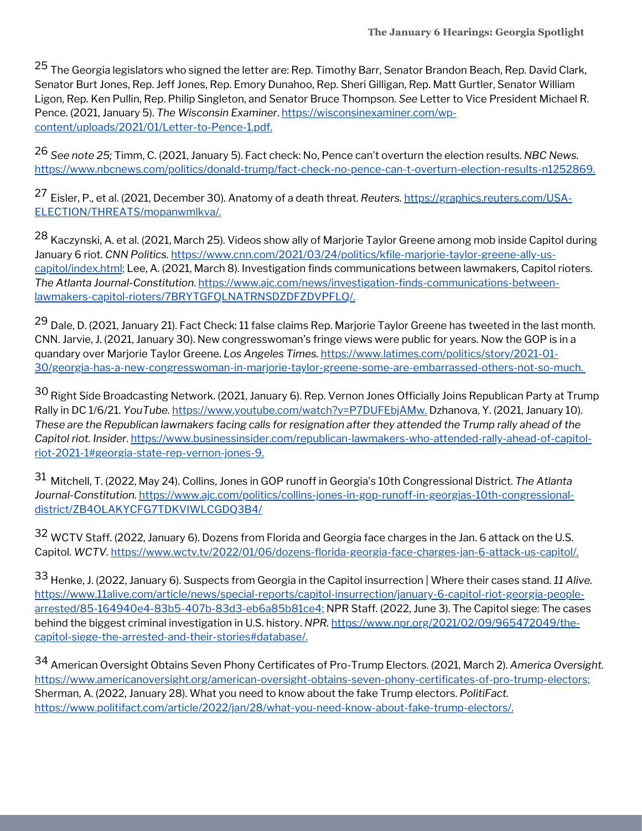<sup>25</sup> The Georgia legislators who signed the letter are: Rep. Timothy Barr, Senator Brandon Beach, Rep. David Clark, Senator Burt Jones, Rep. Jeff Jones, Rep. Emory Dunahoo, Rep. Sheri Gilligan, Rep. Matt Gurtler, Senator William Ligon, Rep. Ken Pullin, Rep. Philip Singleton, and Senator Bruce Thompson. *See* Letter to Vice President Michael R. Pence. (2021, January 5). *The Wisconsin Examiner*. https://wisconsinexaminer.com/wp[content/uploads/2021/01/Letter-to-Pence-1.pdf.](https://wisconsinexaminer.com/wp-content/uploads/2021/01/Letter-to-Pence-1.pdf)

*See note 25;* Timm, C. (2021, January 5). Fact check: No, Pence can't overturn the election results. *NBC News.* 26 [https://www.nbcnews.com/politics/donald-trump/fact-check-no-pence-can-t-overturn-election-results-n1252869.](https://www.nbcnews.com/politics/donald-trump/fact-check-no-pence-can-t-overturn-election-results-n1252869)

Eisler, P., et al. (2021, December 30). Anatomy of a death threat. *Reuters.* https://graphics.reuters.com/USA-27 [ELECTION/THREATS/mopanwmlkva/.](https://graphics.reuters.com/USA-ELECTION/THREATS/mopanwmlkva/)

<sup>28</sup> Kaczynski, A. et al. (2021, March 25). Videos show ally of Marjorie Taylor Greene among mob inside Capitol during January 6 riot. *CNN Politics.* [https://www.cnn.com/2021/03/24/politics/kfile-marjorie-taylor-greene-ally-us](https://www.cnn.com/2021/03/24/politics/kfile-marjorie-taylor-greene-ally-us-capitol/index.html;)capitol/index.html; Lee, A. (2021, March 8). Investigation finds communications between lawmakers, Capitol rioters. *The Atlanta Journal-Constitution*. [https://www.ajc.com/news/investigation-finds-communications-between](https://www.ajc.com/news/investigation-finds-communications-between-lawmakers-capitol-rioters/7BRYTGFQLNATRNSDZDFZDVPFLQ/)lawmakers-capitol-rioters/7BRYTGFQLNATRNSDZDFZDVPFLQ/.

<sup>29</sup> Dale, D. (2021, January 21). Fact Check: 11 false claims Rep. Marjorie Taylor Greene has tweeted in the last month. CNN. Jarvie, J. (2021, January 30). New congresswoman's fringe views were public for years. Now the GOP is in a quandary over Marjorie Taylor Greene. *Los Angeles Times.* https://www.latimes.com/politics/story/2021-01- [30/georgia-has-a-new-congresswoman-in-marjorie-taylor-greene-some-are-embarrassed-others-not-so-much](https://www.latimes.com/politics/story/2021-01-30/georgia-has-a-new-congresswoman-in-marjorie-taylor-greene-some-are-embarrassed-others-not-so-much).

 $^{30}$  Right Side Broadcasting Network. (2021, January 6). Rep. Vernon Jones Officially Joins Republican Party at Trump Rally in DC 1/6/21. *YouTube.* <https://www.youtube.com/watch?v=P7DUFEbjAMw>. Dzhanova, Y. (2021, January 10). These are the Republican lawmakers facing calls for resignation after they attended the Trump rally ahead of the *Capitol riot. Insider*. [https://www.businessinsider.com/republican-lawmakers-who-attended-rally-ahead-of-capitol](https://www.businessinsider.com/republican-lawmakers-who-attended-rally-ahead-of-capitol-riot-2021-1#georgia-state-rep-vernon-jones-9)riot-2021-1#georgia-state-rep-vernon-jones-9.

Mitchell, T. (2022, May 24). Collins, Jones in GOP runoff in Georgia's 10th Congressional District. *The Atlanta* 31 *Journal-Constitution.* [https://www.ajc.com/politics/collins-jones-in-gop-runoff-in-georgias-10th-congressional](https://www.ajc.com/politics/collins-jones-in-gop-runoff-in-georgias-10th-congressional-district/ZB4OLAKYCFG7TDKVIWLCGDQ3B4/)district/ZB4OLAKYCFG7TDKVIWLCGDQ3B4/

 $^{32}$  WCTV Staff. (2022, January 6). Dozens from Florida and Georgia face charges in the Jan. 6 attack on the U.S. Capitol. *WCTV.* <https://www.wctv.tv/2022/01/06/dozens-florida-georgia-face-charges-jan-6-attack-us-capitol/>.

Henke, J. (2022, January 6). Suspects from Georgia in the Capitol insurrection | Where their cases stand. *11 Alive.* 33 [https://www.11alive.com/article/news/special-reports/capitol-insurrection/january-6-capitol-riot-georgia-people](https://www.11alive.com/article/news/special-reports/capitol-insurrection/january-6-capitol-riot-georgia-people-arrested/85-164940e4-83b5-407b-83d3-eb6a85b81ce4;)arrested/85-164940e4-83b5-407b-83d3-eb6a85b81ce4; NPR Staff. (2022, June 3). The Capitol siege: The cases behind the biggest criminal investigation in U.S. history. *NPR.* https://www.npr.org/2021/02/09/965472049/the[capitol-siege-the-arrested-and-their-stories#database/.](https://www.npr.org/2021/02/09/965472049/the-capitol-siege-the-arrested-and-their-stories#database/.)

American Oversight Obtains Seven Phony Certificates of Pro-Trump Electors. (2021, March 2). *America Oversight.* 34<https://www.americanoversight.org/american-oversight-obtains-seven-phony-certificates-of-pro-trump-electors;> Sherman, A. (2022, January 28). What you need to know about the fake Trump electors. *PolitiFact.* [https://www.politifact.com/article/2022/jan/28/what-you-need-know-about-fake-trump-electors/.](https://www.politifact.com/article/2022/jan/28/what-you-need-know-about-fake-trump-electors/)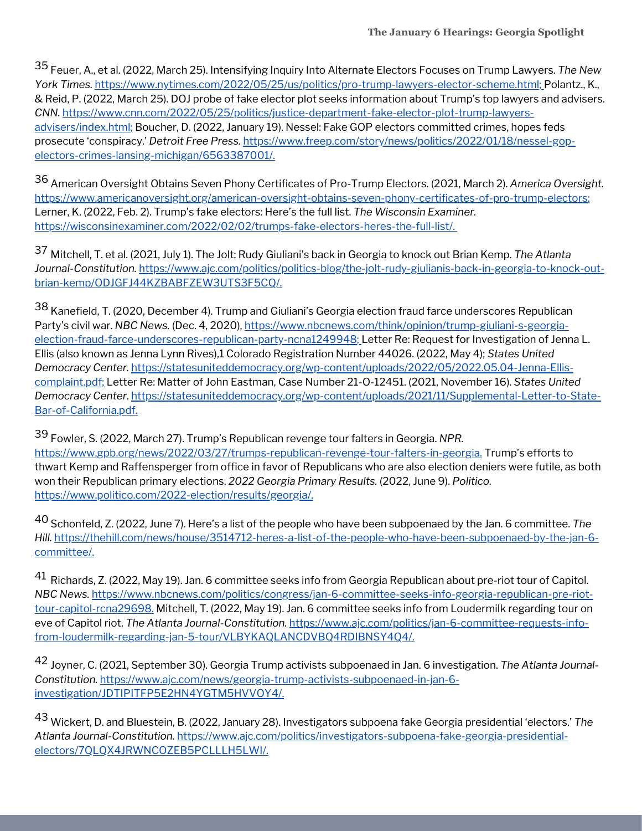Feuer, A., et al. (2022, March 25). Intensifying Inquiry Into Alternate Electors Focuses on Trump Lawyers. *The New* 35 *York Times.* [https://www.nytimes.com/2022/05/25/us/politics/pro-trump-lawyers-elector-scheme.html;](https://www.nytimes.com/2022/05/25/us/politics/pro-trump-lawyers-elector-scheme.html) Polantz., K., & Reid, P. (2022, March 25). DOJ probe of fake elector plot seeks information about Trump's top lawyers and advisers. *CNN.* [https://www.cnn.com/2022/05/25/politics/justice-department-fake-elector-plot-trump-lawyers](https://www.cnn.com/2022/05/25/politics/justice-department-fake-elector-plot-trump-lawyers-advisers/index.html)advisers/index.html; Boucher, D. (2022, January 19). Nessel: Fake GOP electors committed crimes, hopes feds prosecute 'conspiracy.' *Detroit Free Press.* [https://www.freep.com/story/news/politics/2022/01/18/nessel-gop](https://www.freep.com/story/news/politics/2022/01/18/nessel-gop-electors-crimes-lansing-michigan/6563387001/)electors-crimes-lansing-michigan/6563387001/.

American Oversight Obtains Seven Phony Certificates of Pro-Trump Electors. (2021, March 2). *America Oversight.* 36 <https://www.americanoversight.org/american-oversight-obtains-seven-phony-certificates-of-pro-trump-electors>; Lerner, K. (2022, Feb. 2). Trump's fake electors: Here's the full list. *The Wisconsin Examiner.* <https://wisconsinexaminer.com/2022/02/02/trumps-fake-electors-heres-the-full-list/>.

Mitchell, T. et al. (2021, July 1). The Jolt: Rudy Giuliani's back in Georgia to knock out Brian Kemp. *The Atlanta* 37 *Journal-Constitution.* [https://www.ajc.com/politics/politics-blog/the-jolt-rudy-giulianis-back-in-georgia-to-knock-out](https://www.ajc.com/politics/politics-blog/the-jolt-rudy-giulianis-back-in-georgia-to-knock-out-brian-kemp/ODJGFJ44KZBABFZEW3UTS3F5CQ/)brian-kemp/ODJGFJ44KZBABFZEW3UTS3F5CQ/.

 $^{38}$  Kanefield, T. (2020, December 4). Trump and Giuliani's Georgia election fraud farce underscores Republican Party's civil war. *NBC* News. (Dec. 4, 2020), [https://www.nbcnews.com/think/opinion/trump-giuliani-s-georgia](https://www.nbcnews.com/think/opinion/trump-giuliani-s-georgia-election-fraud-farce-underscores-republican-party-ncna1249948)election-fraud-farce-underscores-republican-party-ncna1249948; Letter Re: Request for Investigation of Jenna L. Ellis (also known as Jenna Lynn Rives),1 Colorado Registration Number 44026. (2022, May 4); *States United Democracy Center.* [https://statesuniteddemocracy.org/wp-content/uploads/2022/05/2022.05.04-Jenna-Ellis](https://statesuniteddemocracy.org/wp-content/uploads/2022/05/2022.05.04-Jenna-Ellis-complaint.pdf;)complaint.pdf; Letter Re: Matter of John Eastman, Case Number 21-O-12451. (2021, November 16). *States United Democracy Center*. [https://statesuniteddemocracy.org/wp-content/uploads/2021/11/Supplemental-Letter-to-State-](https://statesuniteddemocracy.org/wp-content/uploads/2021/11/Supplemental-Letter-to-State-Bar-of-California.pdf)Bar-of-California.pdf.

Fowler, S. (2022, March 27). Trump's Republican revenge tour falters in Georgia. *NPR.* 39 [https://www.gpb.org/news/2022/03/27/trumps-republican-revenge-tour-falters-in-georgia.](https://www.gpb.org/news/2022/03/27/trumps-republican-revenge-tour-falters-in-georgia) Trump's efforts to thwart Kemp and Raffensperger from office in favor of Republicans who are also election deniers were futile, as both won their Republican primary elections. *2022 Georgia Primary Results.* (2022, June 9). *Politico.* [https://www.politico.com/2022-election/results/georgia/.](https://www.politico.com/2022-election/results/georgia/)

<sup>40</sup> Schonfeld, Z. (2022, June 7). Here's a list of the people who have been subpoenaed by the Jan. 6 committee. The *Hill.* [https://thehill.com/news/house/3514712-heres-a-list-of-the-people-who-have-been-subpoenaed-by-the-jan-6](https://thehill.com/news/house/3514712-heres-a-list-of-the-people-who-have-been-subpoenaed-by-the-jan-6-committee/) committee/.

 $^{41}$  Richards, Z. (2022, May 19). Jan. 6 committee seeks info from Georgia Republican about pre-riot tour of Capitol. *NBC News.* [https://www.nbcnews.com/politics/congress/jan-6-committee-seeks-info-georgia-republican-pre-riot](https://www.nbcnews.com/politics/congress/jan-6-committee-seeks-info-georgia-republican-pre-riot-tour-capitol-rcna29698)tour-capitol-rcna29698. Mitchell, T. (2022, May 19). Jan. 6 committee seeks info from Loudermilk regarding tour on eve of Capitol riot. *The Atlanta Journal-Constitution.* https://www.ajc.com/politics/jan-6-committee-requests-info[from-loudermilk-regarding-jan-5-tour/VLBYKAQLANCDVBQ4RDIBNSY4Q4/.](https://www.ajc.com/politics/jan-6-committee-requests-info-from-loudermilk-regarding-jan-5-tour/VLBYKAQLANCDVBQ4RDIBNSY4Q4/)

Joyner, C. (2021, September 30). Georgia Trump activists subpoenaed in Jan. 6 investigation. *The Atlanta Journal-*42 *Constitution.* [https://www.ajc.com/news/georgia-trump-activists-subpoenaed-in-jan-6](https://www.ajc.com/news/georgia-trump-activists-subpoenaed-in-jan-6-investigation/JDTIPITFP5E2HN4YGTM5HVVOY4/) investigation/JDTIPITFP5E2HN4YGTM5HVVOY4/.

Wickert, D. and Bluestein, B. (2022, January 28). Investigators subpoena fake Georgia presidential 'electors.' *The* 43*Atlanta Journal-Constitution.* [https://www.ajc.com/politics/investigators-subpoena-fake-georgia-presidential](https://www.ajc.com/politics/investigators-subpoena-fake-georgia-presidential-electors/7QLQX4JRWNCOZEB5PCLLLH5LWI/)electors/7QLQX4JRWNCOZEB5PCLLLH5LWI/.